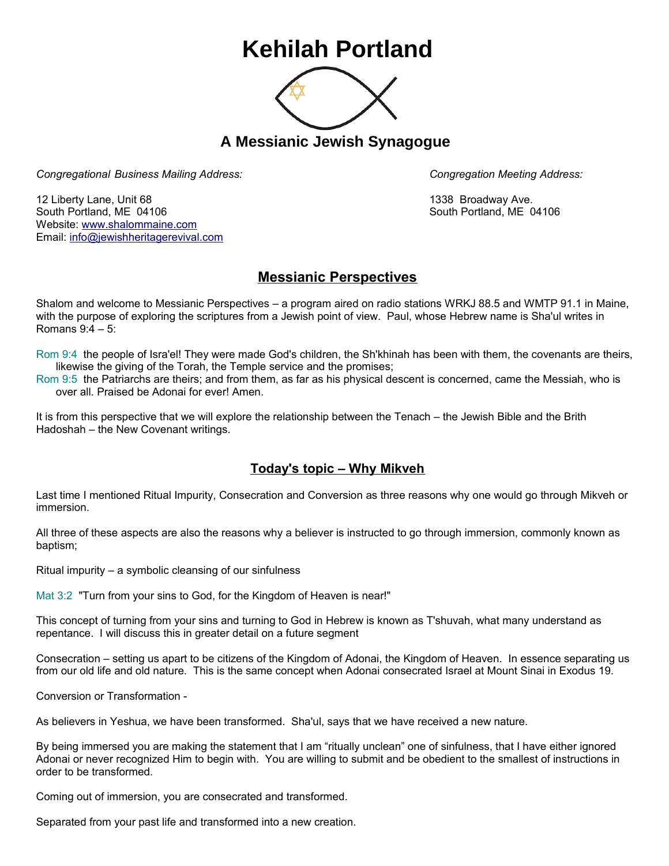## **Kehilah Portland**



**A Messianic Jewish Synagogue** 

*Congregational Business Mailing Address: Congregation Meeting Address:*

12 Liberty Lane, Unit 68 1338 Broadway Ave. South Portland, ME 04106 South Portland, ME 04106 Website: [www.shalommaine.com](http://www.shalommaine.com/) Email: [info@jewishheritagerevival.com](mailto:info@jewishheritagerevival.com) 

## **Messianic Perspectives**

Shalom and welcome to Messianic Perspectives – a program aired on radio stations WRKJ 88.5 and WMTP 91.1 in Maine, with the purpose of exploring the scriptures from a Jewish point of view. Paul, whose Hebrew name is Sha'ul writes in Romans 9:4 – 5:

Rom 9:4 the people of Isra'el! They were made God's children, the Sh'khinah has been with them, the covenants are theirs, likewise the giving of the Torah, the Temple service and the promises;

Rom 9:5 the Patriarchs are theirs; and from them, as far as his physical descent is concerned, came the Messiah, who is over all. Praised be Adonai for ever! Amen.

It is from this perspective that we will explore the relationship between the Tenach – the Jewish Bible and the Brith Hadoshah – the New Covenant writings.

## **Today's topic – Why Mikveh**

Last time I mentioned Ritual Impurity, Consecration and Conversion as three reasons why one would go through Mikveh or immersion.

All three of these aspects are also the reasons why a believer is instructed to go through immersion, commonly known as baptism;

Ritual impurity – a symbolic cleansing of our sinfulness

Mat 3:2 "Turn from your sins to God, for the Kingdom of Heaven is near!"

This concept of turning from your sins and turning to God in Hebrew is known as T'shuvah, what many understand as repentance. I will discuss this in greater detail on a future segment

Consecration – setting us apart to be citizens of the Kingdom of Adonai, the Kingdom of Heaven. In essence separating us from our old life and old nature. This is the same concept when Adonai consecrated Israel at Mount Sinai in Exodus 19.

Conversion or Transformation -

As believers in Yeshua, we have been transformed. Sha'ul, says that we have received a new nature.

By being immersed you are making the statement that I am "ritually unclean" one of sinfulness, that I have either ignored Adonai or never recognized Him to begin with. You are willing to submit and be obedient to the smallest of instructions in order to be transformed.

Coming out of immersion, you are consecrated and transformed.

Separated from your past life and transformed into a new creation.